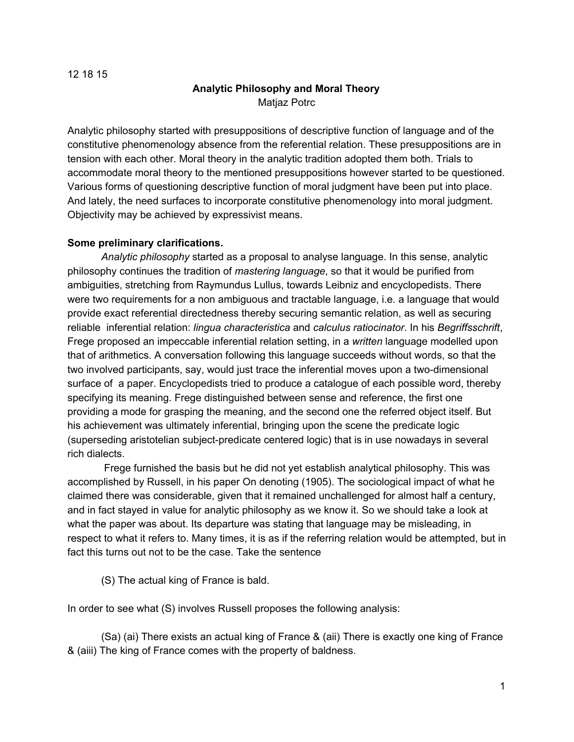#### 12 18 15

# **Analytic Philosophy and Moral Theory** Matjaz Potrc

Analytic philosophy started with presuppositions of descriptive function of language and of the constitutive phenomenology absence from the referential relation. These presuppositions are in tension with each other. Moral theory in the analytic tradition adopted them both. Trials to accommodate moral theory to the mentioned presuppositions however started to be questioned. Various forms of questioning descriptive function of moral judgment have been put into place. And lately, the need surfaces to incorporate constitutive phenomenology into moral judgment. Objectivity may be achieved by expressivist means.

### **Some preliminary clarifications.**

*Analytic philosophy* started as a proposal to analyse language. In this sense, analytic philosophy continues the tradition of *mastering language*, so that it would be purified from ambiguities, stretching from Raymundus Lullus, towards Leibniz and encyclopedists. There were two requirements for a non ambiguous and tractable language, i.e. a language that would provide exact referential directedness thereby securing semantic relation, as well as securing reliable inferential relation: *lingua characteristica* and *calculus ratiocinator*. In his *Begriffsschrift*, Frege proposed an impeccable inferential relation setting, in a *written* language modelled upon that of arithmetics. A conversation following this language succeeds without words, so that the two involved participants, say, would just trace the inferential moves upon a two-dimensional surface of a paper. Encyclopedists tried to produce a catalogue of each possible word, thereby specifying its meaning. Frege distinguished between sense and reference, the first one providing a mode for grasping the meaning, and the second one the referred object itself. But his achievement was ultimately inferential, bringing upon the scene the predicate logic (superseding aristotelian subject-predicate centered logic) that is in use nowadays in several rich dialects.

Frege furnished the basis but he did not yet establish analytical philosophy. This was accomplished by Russell, in his paper On denoting (1905). The sociological impact of what he claimed there was considerable, given that it remained unchallenged for almost half a century, and in fact stayed in value for analytic philosophy as we know it. So we should take a look at what the paper was about. Its departure was stating that language may be misleading, in respect to what it refers to. Many times, it is as if the referring relation would be attempted, but in fact this turns out not to be the case. Take the sentence

(S) The actual king of France is bald.

In order to see what (S) involves Russell proposes the following analysis:

(Sa) (ai) There exists an actual king of France & (aii) There is exactly one king of France & (aiii) The king of France comes with the property of baldness.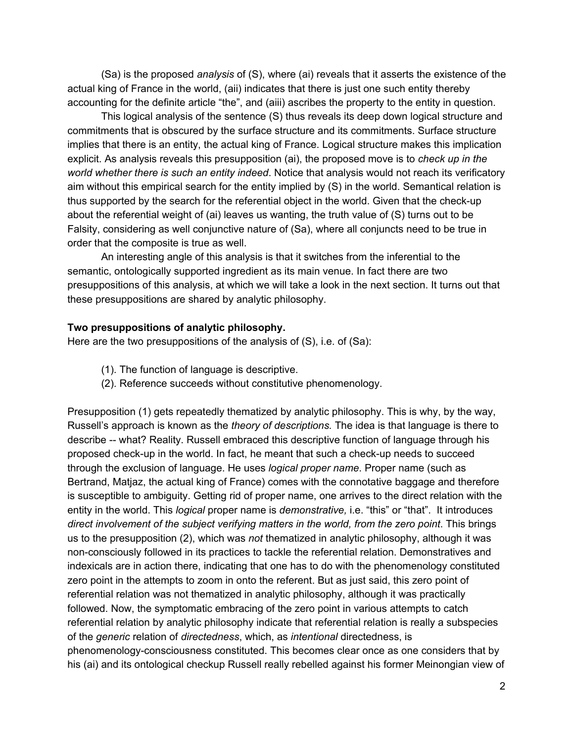(Sa) is the proposed *analysis* of (S), where (ai) reveals that it asserts the existence of the actual king of France in the world, (aii) indicates that there is just one such entity thereby accounting for the definite article "the", and (aiii) ascribes the property to the entity in question.

This logical analysis of the sentence (S) thus reveals its deep down logical structure and commitments that is obscured by the surface structure and its commitments. Surface structure implies that there is an entity, the actual king of France. Logical structure makes this implication explicit. As analysis reveals this presupposition (ai), the proposed move is to *check up in the world whether there is such an entity indeed*. Notice that analysis would not reach its verificatory aim without this empirical search for the entity implied by (S) in the world. Semantical relation is thus supported by the search for the referential object in the world. Given that the check-up about the referential weight of (ai) leaves us wanting, the truth value of (S) turns out to be Falsity, considering as well conjunctive nature of (Sa), where all conjuncts need to be true in order that the composite is true as well.

An interesting angle of this analysis is that it switches from the inferential to the semantic, ontologically supported ingredient as its main venue. In fact there are two presuppositions of this analysis, at which we will take a look in the next section. It turns out that these presuppositions are shared by analytic philosophy.

#### **Two presuppositions of analytic philosophy.**

Here are the two presuppositions of the analysis of (S), i.e. of (Sa):

- (1). The function of language is descriptive.
- (2). Reference succeeds without constitutive phenomenology.

Presupposition (1) gets repeatedly thematized by analytic philosophy. This is why, by the way, Russell's approach is known as the *theory of descriptions.* The idea is that language is there to describe -- what? Reality. Russell embraced this descriptive function of language through his proposed check-up in the world. In fact, he meant that such a check-up needs to succeed through the exclusion of language. He uses *logical proper name*. Proper name (such as Bertrand, Matjaz, the actual king of France) comes with the connotative baggage and therefore is susceptible to ambiguity. Getting rid of proper name, one arrives to the direct relation with the entity in the world. This *logical* proper name is *demonstrative,* i.e. "this" or "that". It introduces *direct involvement of the subject verifying matters in the world, from the zero point*. This brings us to the presupposition (2), which was *not* thematized in analytic philosophy, although it was non-consciously followed in its practices to tackle the referential relation. Demonstratives and indexicals are in action there, indicating that one has to do with the phenomenology constituted zero point in the attempts to zoom in onto the referent. But as just said, this zero point of referential relation was not thematized in analytic philosophy, although it was practically followed. Now, the symptomatic embracing of the zero point in various attempts to catch referential relation by analytic philosophy indicate that referential relation is really a subspecies of the *generic* relation of *directedness*, which, as *intentional* directedness, is phenomenology-consciousness constituted. This becomes clear once as one considers that by his (ai) and its ontological checkup Russell really rebelled against his former Meinongian view of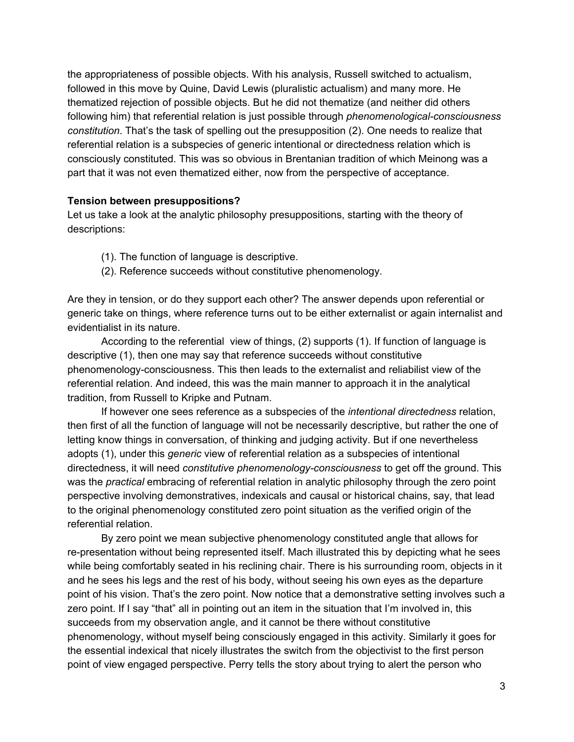the appropriateness of possible objects. With his analysis, Russell switched to actualism, followed in this move by Quine, David Lewis (pluralistic actualism) and many more. He thematized rejection of possible objects. But he did not thematize (and neither did others following him) that referential relation is just possible through *phenomenological-consciousness constitution*. That's the task of spelling out the presupposition (2). One needs to realize that referential relation is a subspecies of generic intentional or directedness relation which is consciously constituted. This was so obvious in Brentanian tradition of which Meinong was a part that it was not even thematized either, now from the perspective of acceptance.

#### **Tension between presuppositions?**

Let us take a look at the analytic philosophy presuppositions, starting with the theory of descriptions:

- (1). The function of language is descriptive.
- (2). Reference succeeds without constitutive phenomenology.

Are they in tension, or do they support each other? The answer depends upon referential or generic take on things, where reference turns out to be either externalist or again internalist and evidentialist in its nature.

According to the referential view of things, (2) supports (1). If function of language is descriptive (1), then one may say that reference succeeds without constitutive phenomenology-consciousness. This then leads to the externalist and reliabilist view of the referential relation. And indeed, this was the main manner to approach it in the analytical tradition, from Russell to Kripke and Putnam.

If however one sees reference as a subspecies of the *intentional directedness* relation, then first of all the function of language will not be necessarily descriptive, but rather the one of letting know things in conversation, of thinking and judging activity. But if one nevertheless adopts (1), under this *generic* view of referential relation as a subspecies of intentional directedness, it will need *constitutive phenomenologyconsciousness* to get off the ground. This was the *practical* embracing of referential relation in analytic philosophy through the zero point perspective involving demonstratives, indexicals and causal or historical chains, say, that lead to the original phenomenology constituted zero point situation as the verified origin of the referential relation.

By zero point we mean subjective phenomenology constituted angle that allows for re-presentation without being represented itself. Mach illustrated this by depicting what he sees while being comfortably seated in his reclining chair. There is his surrounding room, objects in it and he sees his legs and the rest of his body, without seeing his own eyes as the departure point of his vision. That's the zero point. Now notice that a demonstrative setting involves such a zero point. If I say "that" all in pointing out an item in the situation that I'm involved in, this succeeds from my observation angle, and it cannot be there without constitutive phenomenology, without myself being consciously engaged in this activity. Similarly it goes for the essential indexical that nicely illustrates the switch from the objectivist to the first person point of view engaged perspective. Perry tells the story about trying to alert the person who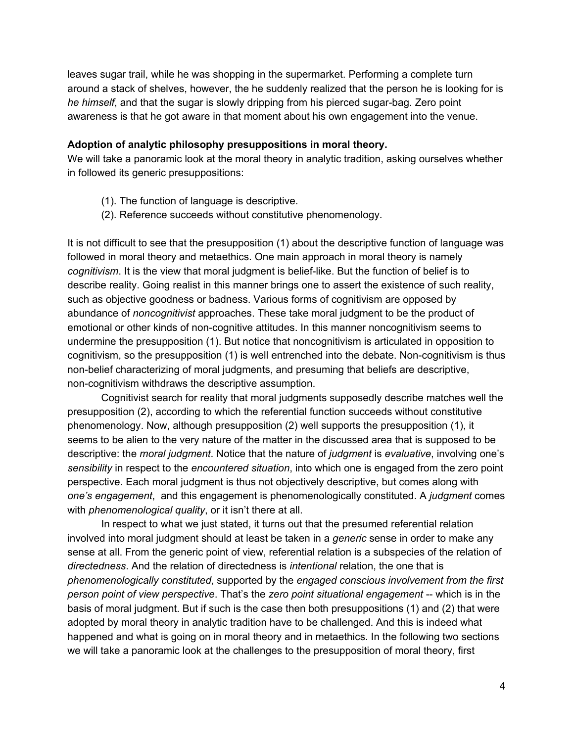leaves sugar trail, while he was shopping in the supermarket. Performing a complete turn around a stack of shelves, however, the he suddenly realized that the person he is looking for is *he himself*, and that the sugar is slowly dripping from his pierced sugar-bag. Zero point awareness is that he got aware in that moment about his own engagement into the venue.

#### **Adoption of analytic philosophy presuppositions in moral theory.**

We will take a panoramic look at the moral theory in analytic tradition, asking ourselves whether in followed its generic presuppositions:

- (1). The function of language is descriptive.
- (2). Reference succeeds without constitutive phenomenology.

It is not difficult to see that the presupposition (1) about the descriptive function of language was followed in moral theory and metaethics. One main approach in moral theory is namely *cognitivism*. It is the view that moral judgment is belief-like. But the function of belief is to describe reality. Going realist in this manner brings one to assert the existence of such reality, such as objective goodness or badness. Various forms of cognitivism are opposed by abundance of *noncognitivist* approaches. These take moral judgment to be the product of emotional or other kinds of non-cognitive attitudes. In this manner noncognitivism seems to undermine the presupposition (1). But notice that noncognitivism is articulated in opposition to cognitivism, so the presupposition (1) is well entrenched into the debate. Non-cognitivism is thus non-belief characterizing of moral judgments, and presuming that beliefs are descriptive, non-cognitivism withdraws the descriptive assumption.

Cognitivist search for reality that moral judgments supposedly describe matches well the presupposition (2), according to which the referential function succeeds without constitutive phenomenology. Now, although presupposition (2) well supports the presupposition (1), it seems to be alien to the very nature of the matter in the discussed area that is supposed to be descriptive: the *moral judgment*. Notice that the nature of *judgment* is *evaluative*, involving one's *sensibility* in respect to the *encountered situation*, into which one is engaged from the zero point perspective. Each moral judgment is thus not objectively descriptive, but comes along with *one's engagement*, and this engagement is phenomenologically constituted. A *judgment* comes with *phenomenological quality*, or it isn't there at all.

In respect to what we just stated, it turns out that the presumed referential relation involved into moral judgment should at least be taken in a *generic* sense in order to make any sense at all. From the generic point of view, referential relation is a subspecies of the relation of *directedness*. And the relation of directedness is *intentional* relation, the one that is *phenomenologically constituted*, supported by the *engaged conscious involvement from the first person point of view perspective*. That's the *zero point situational engagement* which is in the basis of moral judgment. But if such is the case then both presuppositions (1) and (2) that were adopted by moral theory in analytic tradition have to be challenged. And this is indeed what happened and what is going on in moral theory and in metaethics. In the following two sections we will take a panoramic look at the challenges to the presupposition of moral theory, first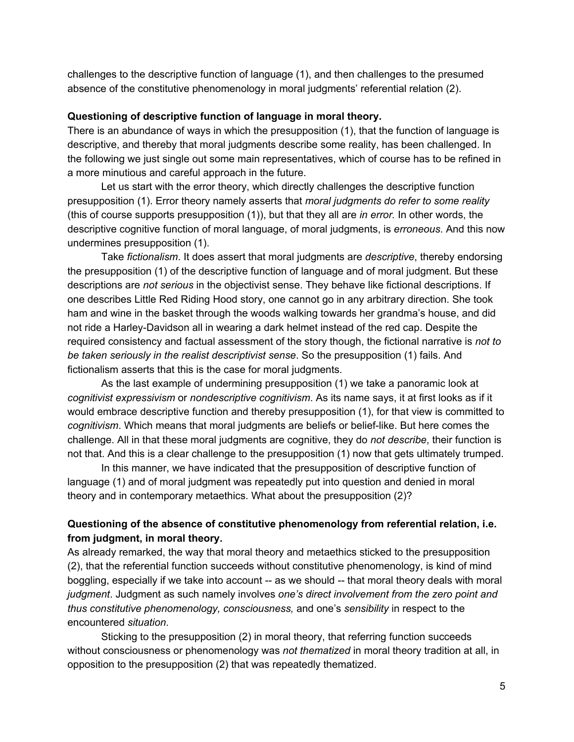challenges to the descriptive function of language (1), and then challenges to the presumed absence of the constitutive phenomenology in moral judgments' referential relation (2).

#### **Questioning of descriptive function of language in moral theory.**

There is an abundance of ways in which the presupposition (1), that the function of language is descriptive, and thereby that moral judgments describe some reality, has been challenged. In the following we just single out some main representatives, which of course has to be refined in a more minutious and careful approach in the future.

Let us start with the error theory, which directly challenges the descriptive function presupposition (1). Error theory namely asserts that *moral judgments do refer to some reality* (this of course supports presupposition (1)), but that they all are *in error.* In other words, the descriptive cognitive function of moral language, of moral judgments, is *erroneous*. And this now undermines presupposition (1).

Take *fictionalism*. It does assert that moral judgments are *descriptive*, thereby endorsing the presupposition (1) of the descriptive function of language and of moral judgment. But these descriptions are *not serious* in the objectivist sense. They behave like fictional descriptions. If one describes Little Red Riding Hood story, one cannot go in any arbitrary direction. She took ham and wine in the basket through the woods walking towards her grandma's house, and did not ride a Harley-Davidson all in wearing a dark helmet instead of the red cap. Despite the required consistency and factual assessment of the story though, the fictional narrative is *not to be taken seriously in the realist descriptivist sense*. So the presupposition (1) fails. And fictionalism asserts that this is the case for moral judgments.

As the last example of undermining presupposition (1) we take a panoramic look at *cognitivist expressivism* or *nondescriptive cognitivism*. As its name says, it at first looks as if it would embrace descriptive function and thereby presupposition (1), for that view is committed to *cognitivism*. Which means that moral judgments are beliefs or belief-like. But here comes the challenge. All in that these moral judgments are cognitive, they do *not describe*, their function is not that. And this is a clear challenge to the presupposition (1) now that gets ultimately trumped.

In this manner, we have indicated that the presupposition of descriptive function of language (1) and of moral judgment was repeatedly put into question and denied in moral theory and in contemporary metaethics. What about the presupposition (2)?

## **Questioning of the absence of constitutive phenomenology from referential relation, i.e. from judgment, in moral theory.**

As already remarked, the way that moral theory and metaethics sticked to the presupposition (2), that the referential function succeeds without constitutive phenomenology, is kind of mind boggling, especially if we take into account -- as we should -- that moral theory deals with moral *judgment*. Judgment as such namely involves *one's direct involvement from the zero point and thus constitutive phenomenology, consciousness,* and one's *sensibility* in respect to the encountered *situation*.

Sticking to the presupposition (2) in moral theory, that referring function succeeds without consciousness or phenomenology was *not thematized* in moral theory tradition at all, in opposition to the presupposition (2) that was repeatedly thematized.